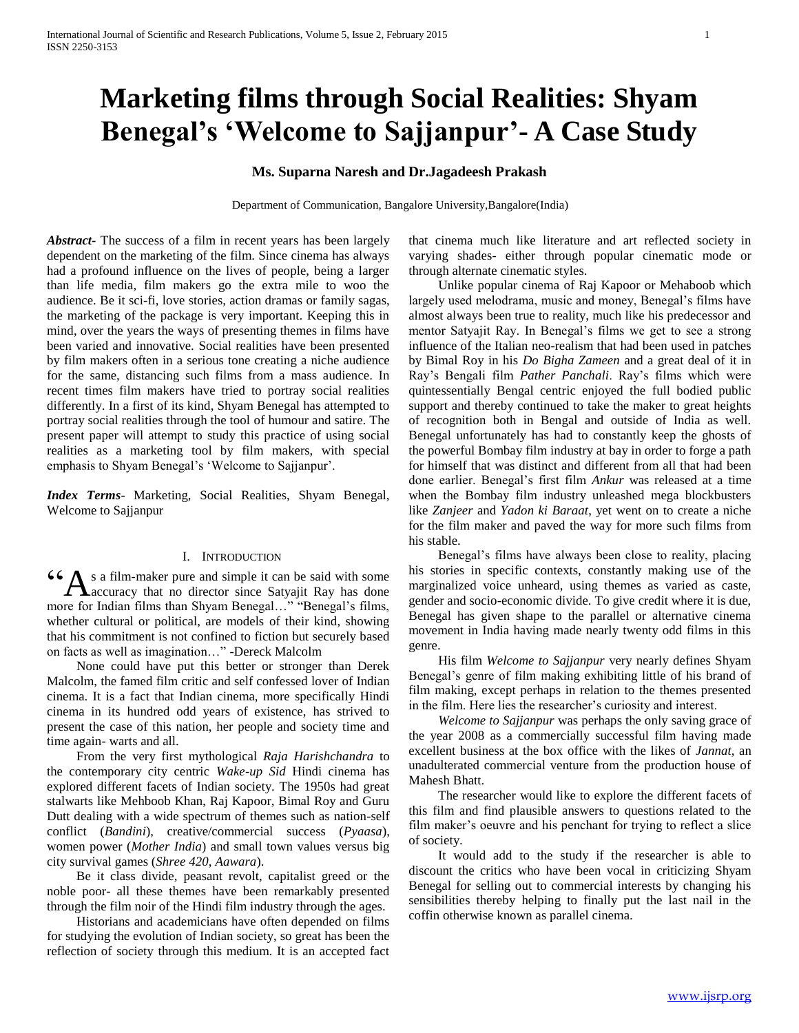# **Marketing films through Social Realities: Shyam Benegal's 'Welcome to Sajjanpur'- A Case Study**

# **Ms. Suparna Naresh and Dr.Jagadeesh Prakash**

Department of Communication, Bangalore University,Bangalore(India)

*Abstract***-** The success of a film in recent years has been largely dependent on the marketing of the film. Since cinema has always had a profound influence on the lives of people, being a larger than life media, film makers go the extra mile to woo the audience. Be it sci-fi, love stories, action dramas or family sagas, the marketing of the package is very important. Keeping this in mind, over the years the ways of presenting themes in films have been varied and innovative. Social realities have been presented by film makers often in a serious tone creating a niche audience for the same, distancing such films from a mass audience. In recent times film makers have tried to portray social realities differently. In a first of its kind, Shyam Benegal has attempted to portray social realities through the tool of humour and satire. The present paper will attempt to study this practice of using social realities as a marketing tool by film makers, with special emphasis to Shyam Benegal's 'Welcome to Sajjanpur'.

*Index Terms*- Marketing, Social Realities, Shyam Benegal, Welcome to Sajjanpur

#### I. INTRODUCTION

s a film-maker pure and simple it can be said with some 66 As a film-maker pure and simple it can be said with some accuracy that no director since Satyajit Ray has done more for Indian films than Shyam Benegal…" "Benegal's films, whether cultural or political, are models of their kind, showing that his commitment is not confined to fiction but securely based on facts as well as imagination…" -Dereck Malcolm

 None could have put this better or stronger than Derek Malcolm, the famed film critic and self confessed lover of Indian cinema. It is a fact that Indian cinema, more specifically Hindi cinema in its hundred odd years of existence, has strived to present the case of this nation, her people and society time and time again- warts and all.

 From the very first mythological *Raja Harishchandra* to the contemporary city centric *Wake-up Sid* Hindi cinema has explored different facets of Indian society. The 1950s had great stalwarts like Mehboob Khan, Raj Kapoor, Bimal Roy and Guru Dutt dealing with a wide spectrum of themes such as nation-self conflict (*Bandini*), creative/commercial success (*Pyaasa*), women power (*Mother India*) and small town values versus big city survival games (*Shree 420*, *Aawara*).

 Be it class divide, peasant revolt, capitalist greed or the noble poor- all these themes have been remarkably presented through the film noir of the Hindi film industry through the ages.

 Historians and academicians have often depended on films for studying the evolution of Indian society, so great has been the reflection of society through this medium. It is an accepted fact that cinema much like literature and art reflected society in varying shades- either through popular cinematic mode or through alternate cinematic styles.

 Unlike popular cinema of Raj Kapoor or Mehaboob which largely used melodrama, music and money, Benegal's films have almost always been true to reality, much like his predecessor and mentor Satyajit Ray. In Benegal's films we get to see a strong influence of the Italian neo-realism that had been used in patches by Bimal Roy in his *Do Bigha Zameen* and a great deal of it in Ray's Bengali film *Pather Panchali*. Ray's films which were quintessentially Bengal centric enjoyed the full bodied public support and thereby continued to take the maker to great heights of recognition both in Bengal and outside of India as well. Benegal unfortunately has had to constantly keep the ghosts of the powerful Bombay film industry at bay in order to forge a path for himself that was distinct and different from all that had been done earlier. Benegal's first film *Ankur* was released at a time when the Bombay film industry unleashed mega blockbusters like *Zanjeer* and *Yadon ki Baraat*, yet went on to create a niche for the film maker and paved the way for more such films from his stable.

 Benegal's films have always been close to reality, placing his stories in specific contexts, constantly making use of the marginalized voice unheard, using themes as varied as caste, gender and socio-economic divide. To give credit where it is due, Benegal has given shape to the parallel or alternative cinema movement in India having made nearly twenty odd films in this genre.

 His film *Welcome to Sajjanpur* very nearly defines Shyam Benegal's genre of film making exhibiting little of his brand of film making, except perhaps in relation to the themes presented in the film. Here lies the researcher's curiosity and interest.

 *Welcome to Sajjanpur* was perhaps the only saving grace of the year 2008 as a commercially successful film having made excellent business at the box office with the likes of *Jannat*, an unadulterated commercial venture from the production house of Mahesh Bhatt.

 The researcher would like to explore the different facets of this film and find plausible answers to questions related to the film maker's oeuvre and his penchant for trying to reflect a slice of society.

 It would add to the study if the researcher is able to discount the critics who have been vocal in criticizing Shyam Benegal for selling out to commercial interests by changing his sensibilities thereby helping to finally put the last nail in the coffin otherwise known as parallel cinema.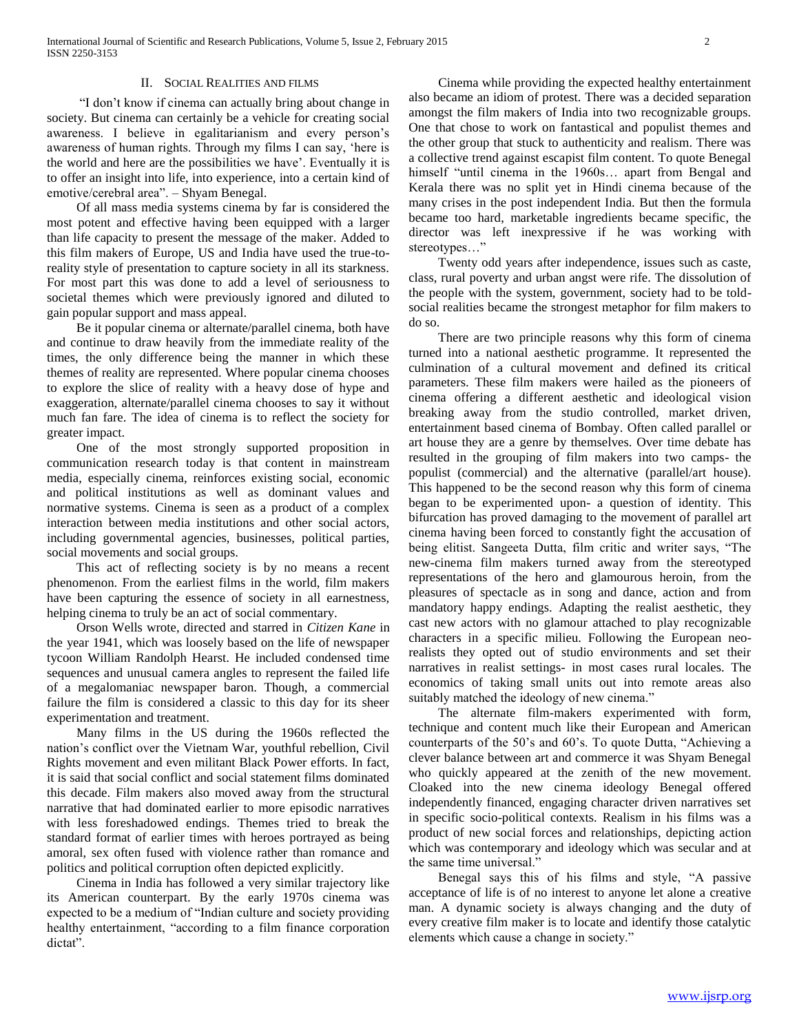### II. SOCIAL REALITIES AND FILMS

 "I don't know if cinema can actually bring about change in society. But cinema can certainly be a vehicle for creating social awareness. I believe in egalitarianism and every person's awareness of human rights. Through my films I can say, 'here is the world and here are the possibilities we have'. Eventually it is to offer an insight into life, into experience, into a certain kind of emotive/cerebral area". – Shyam Benegal.

 Of all mass media systems cinema by far is considered the most potent and effective having been equipped with a larger than life capacity to present the message of the maker. Added to this film makers of Europe, US and India have used the true-toreality style of presentation to capture society in all its starkness. For most part this was done to add a level of seriousness to societal themes which were previously ignored and diluted to gain popular support and mass appeal.

 Be it popular cinema or alternate/parallel cinema, both have and continue to draw heavily from the immediate reality of the times, the only difference being the manner in which these themes of reality are represented. Where popular cinema chooses to explore the slice of reality with a heavy dose of hype and exaggeration, alternate/parallel cinema chooses to say it without much fan fare. The idea of cinema is to reflect the society for greater impact.

 One of the most strongly supported proposition in communication research today is that content in mainstream media, especially cinema, reinforces existing social, economic and political institutions as well as dominant values and normative systems. Cinema is seen as a product of a complex interaction between media institutions and other social actors, including governmental agencies, businesses, political parties, social movements and social groups.

 This act of reflecting society is by no means a recent phenomenon. From the earliest films in the world, film makers have been capturing the essence of society in all earnestness, helping cinema to truly be an act of social commentary.

 Orson Wells wrote, directed and starred in *Citizen Kane* in the year 1941, which was loosely based on the life of newspaper tycoon William Randolph Hearst. He included condensed time sequences and unusual camera angles to represent the failed life of a megalomaniac newspaper baron. Though, a commercial failure the film is considered a classic to this day for its sheer experimentation and treatment.

 Many films in the US during the 1960s reflected the nation's conflict over the Vietnam War, youthful rebellion, Civil Rights movement and even militant Black Power efforts. In fact, it is said that social conflict and social statement films dominated this decade. Film makers also moved away from the structural narrative that had dominated earlier to more episodic narratives with less foreshadowed endings. Themes tried to break the standard format of earlier times with heroes portrayed as being amoral, sex often fused with violence rather than romance and politics and political corruption often depicted explicitly.

 Cinema in India has followed a very similar trajectory like its American counterpart. By the early 1970s cinema was expected to be a medium of "Indian culture and society providing healthy entertainment, "according to a film finance corporation dictat".

 Cinema while providing the expected healthy entertainment also became an idiom of protest. There was a decided separation amongst the film makers of India into two recognizable groups. One that chose to work on fantastical and populist themes and the other group that stuck to authenticity and realism. There was a collective trend against escapist film content. To quote Benegal himself "until cinema in the 1960s… apart from Bengal and Kerala there was no split yet in Hindi cinema because of the many crises in the post independent India. But then the formula became too hard, marketable ingredients became specific, the director was left inexpressive if he was working with stereotypes...'

 Twenty odd years after independence, issues such as caste, class, rural poverty and urban angst were rife. The dissolution of the people with the system, government, society had to be toldsocial realities became the strongest metaphor for film makers to do so.

 There are two principle reasons why this form of cinema turned into a national aesthetic programme. It represented the culmination of a cultural movement and defined its critical parameters. These film makers were hailed as the pioneers of cinema offering a different aesthetic and ideological vision breaking away from the studio controlled, market driven, entertainment based cinema of Bombay. Often called parallel or art house they are a genre by themselves. Over time debate has resulted in the grouping of film makers into two camps- the populist (commercial) and the alternative (parallel/art house). This happened to be the second reason why this form of cinema began to be experimented upon- a question of identity. This bifurcation has proved damaging to the movement of parallel art cinema having been forced to constantly fight the accusation of being elitist. Sangeeta Dutta, film critic and writer says, "The new-cinema film makers turned away from the stereotyped representations of the hero and glamourous heroin, from the pleasures of spectacle as in song and dance, action and from mandatory happy endings. Adapting the realist aesthetic, they cast new actors with no glamour attached to play recognizable characters in a specific milieu. Following the European neorealists they opted out of studio environments and set their narratives in realist settings- in most cases rural locales. The economics of taking small units out into remote areas also suitably matched the ideology of new cinema."

 The alternate film-makers experimented with form, technique and content much like their European and American counterparts of the 50's and 60's. To quote Dutta, "Achieving a clever balance between art and commerce it was Shyam Benegal who quickly appeared at the zenith of the new movement. Cloaked into the new cinema ideology Benegal offered independently financed, engaging character driven narratives set in specific socio-political contexts. Realism in his films was a product of new social forces and relationships, depicting action which was contemporary and ideology which was secular and at the same time universal."

 Benegal says this of his films and style, "A passive acceptance of life is of no interest to anyone let alone a creative man. A dynamic society is always changing and the duty of every creative film maker is to locate and identify those catalytic elements which cause a change in society."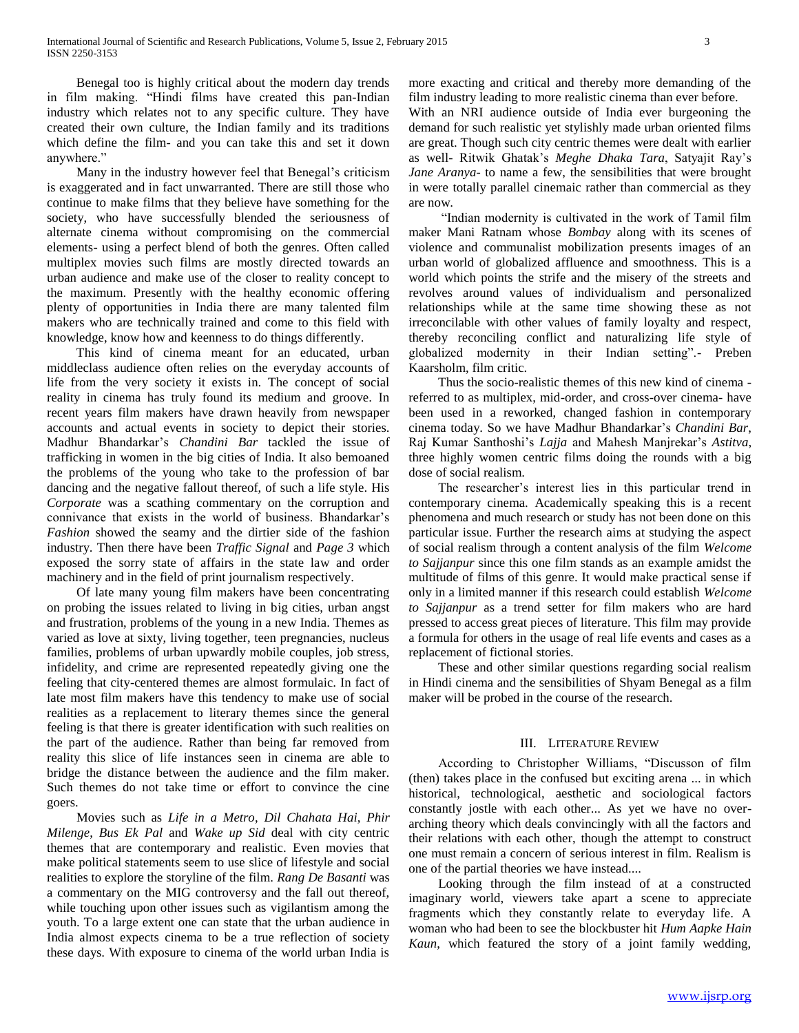Benegal too is highly critical about the modern day trends in film making. "Hindi films have created this pan-Indian industry which relates not to any specific culture. They have created their own culture, the Indian family and its traditions which define the film- and you can take this and set it down anywhere."

 Many in the industry however feel that Benegal's criticism is exaggerated and in fact unwarranted. There are still those who continue to make films that they believe have something for the society, who have successfully blended the seriousness of alternate cinema without compromising on the commercial elements- using a perfect blend of both the genres. Often called multiplex movies such films are mostly directed towards an urban audience and make use of the closer to reality concept to the maximum. Presently with the healthy economic offering plenty of opportunities in India there are many talented film makers who are technically trained and come to this field with knowledge, know how and keenness to do things differently.

 This kind of cinema meant for an educated, urban middleclass audience often relies on the everyday accounts of life from the very society it exists in. The concept of social reality in cinema has truly found its medium and groove. In recent years film makers have drawn heavily from newspaper accounts and actual events in society to depict their stories. Madhur Bhandarkar's *Chandini Bar* tackled the issue of trafficking in women in the big cities of India. It also bemoaned the problems of the young who take to the profession of bar dancing and the negative fallout thereof, of such a life style. His *Corporate* was a scathing commentary on the corruption and connivance that exists in the world of business. Bhandarkar's *Fashion* showed the seamy and the dirtier side of the fashion industry. Then there have been *Traffic Signal* and *Page 3* which exposed the sorry state of affairs in the state law and order machinery and in the field of print journalism respectively.

 Of late many young film makers have been concentrating on probing the issues related to living in big cities, urban angst and frustration, problems of the young in a new India. Themes as varied as love at sixty, living together, teen pregnancies, nucleus families, problems of urban upwardly mobile couples, job stress, infidelity, and crime are represented repeatedly giving one the feeling that city-centered themes are almost formulaic. In fact of late most film makers have this tendency to make use of social realities as a replacement to literary themes since the general feeling is that there is greater identification with such realities on the part of the audience. Rather than being far removed from reality this slice of life instances seen in cinema are able to bridge the distance between the audience and the film maker. Such themes do not take time or effort to convince the cine goers.

 Movies such as *Life in a Metro*, *Dil Chahata Hai*, *Phir Milenge*, *Bus Ek Pal* and *Wake up Sid* deal with city centric themes that are contemporary and realistic. Even movies that make political statements seem to use slice of lifestyle and social realities to explore the storyline of the film. *Rang De Basanti* was a commentary on the MIG controversy and the fall out thereof, while touching upon other issues such as vigilantism among the youth. To a large extent one can state that the urban audience in India almost expects cinema to be a true reflection of society these days. With exposure to cinema of the world urban India is

more exacting and critical and thereby more demanding of the film industry leading to more realistic cinema than ever before.

With an NRI audience outside of India ever burgeoning the demand for such realistic yet stylishly made urban oriented films are great. Though such city centric themes were dealt with earlier as well- Ritwik Ghatak's *Meghe Dhaka Tara*, Satyajit Ray's *Jane Aranya*- to name a few, the sensibilities that were brought in were totally parallel cinemaic rather than commercial as they are now.

 "Indian modernity is cultivated in the work of Tamil film maker Mani Ratnam whose *Bombay* along with its scenes of violence and communalist mobilization presents images of an urban world of globalized affluence and smoothness. This is a world which points the strife and the misery of the streets and revolves around values of individualism and personalized relationships while at the same time showing these as not irreconcilable with other values of family loyalty and respect, thereby reconciling conflict and naturalizing life style of globalized modernity in their Indian setting".- Preben Kaarsholm, film critic.

 Thus the socio-realistic themes of this new kind of cinema referred to as multiplex, mid-order, and cross-over cinema- have been used in a reworked, changed fashion in contemporary cinema today. So we have Madhur Bhandarkar's *Chandini Bar*, Raj Kumar Santhoshi's *Lajja* and Mahesh Manjrekar's *Astitva*, three highly women centric films doing the rounds with a big dose of social realism.

 The researcher's interest lies in this particular trend in contemporary cinema. Academically speaking this is a recent phenomena and much research or study has not been done on this particular issue. Further the research aims at studying the aspect of social realism through a content analysis of the film *Welcome to Sajjanpur* since this one film stands as an example amidst the multitude of films of this genre. It would make practical sense if only in a limited manner if this research could establish *Welcome to Sajjanpur* as a trend setter for film makers who are hard pressed to access great pieces of literature. This film may provide a formula for others in the usage of real life events and cases as a replacement of fictional stories.

 These and other similar questions regarding social realism in Hindi cinema and the sensibilities of Shyam Benegal as a film maker will be probed in the course of the research.

# III. LITERATURE REVIEW

 According to Christopher Williams, "Discusson of film (then) takes place in the confused but exciting arena ... in which historical, technological, aesthetic and sociological factors constantly jostle with each other... As yet we have no overarching theory which deals convincingly with all the factors and their relations with each other, though the attempt to construct one must remain a concern of serious interest in film. Realism is one of the partial theories we have instead....

 Looking through the film instead of at a constructed imaginary world, viewers take apart a scene to appreciate fragments which they constantly relate to everyday life. A woman who had been to see the blockbuster hit *Hum Aapke Hain Kaun*, which featured the story of a joint family wedding,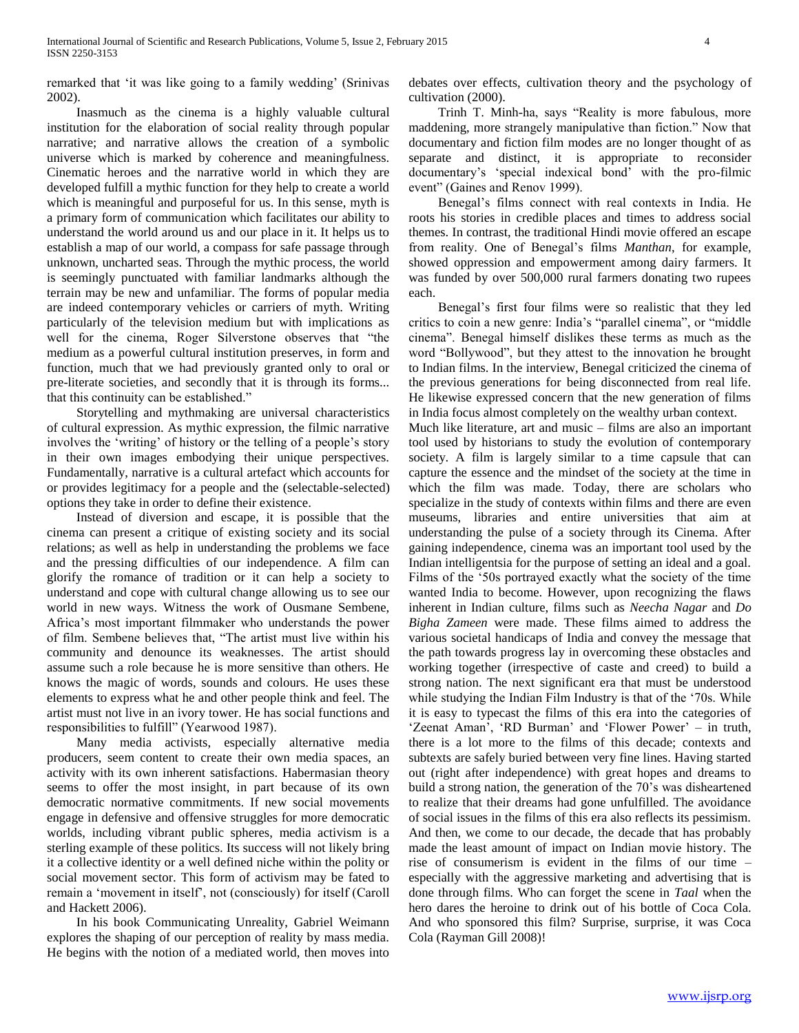remarked that 'it was like going to a family wedding' (Srinivas 2002).

 Inasmuch as the cinema is a highly valuable cultural institution for the elaboration of social reality through popular narrative; and narrative allows the creation of a symbolic universe which is marked by coherence and meaningfulness. Cinematic heroes and the narrative world in which they are developed fulfill a mythic function for they help to create a world which is meaningful and purposeful for us. In this sense, myth is a primary form of communication which facilitates our ability to understand the world around us and our place in it. It helps us to establish a map of our world, a compass for safe passage through unknown, uncharted seas. Through the mythic process, the world is seemingly punctuated with familiar landmarks although the terrain may be new and unfamiliar. The forms of popular media are indeed contemporary vehicles or carriers of myth. Writing particularly of the television medium but with implications as well for the cinema, Roger Silverstone observes that "the medium as a powerful cultural institution preserves, in form and function, much that we had previously granted only to oral or pre-literate societies, and secondly that it is through its forms... that this continuity can be established."

 Storytelling and mythmaking are universal characteristics of cultural expression. As mythic expression, the filmic narrative involves the 'writing' of history or the telling of a people's story in their own images embodying their unique perspectives. Fundamentally, narrative is a cultural artefact which accounts for or provides legitimacy for a people and the (selectable-selected) options they take in order to define their existence.

 Instead of diversion and escape, it is possible that the cinema can present a critique of existing society and its social relations; as well as help in understanding the problems we face and the pressing difficulties of our independence. A film can glorify the romance of tradition or it can help a society to understand and cope with cultural change allowing us to see our world in new ways. Witness the work of Ousmane Sembene, Africa's most important filmmaker who understands the power of film. Sembene believes that, "The artist must live within his community and denounce its weaknesses. The artist should assume such a role because he is more sensitive than others. He knows the magic of words, sounds and colours. He uses these elements to express what he and other people think and feel. The artist must not live in an ivory tower. He has social functions and responsibilities to fulfill" (Yearwood 1987).

 Many media activists, especially alternative media producers, seem content to create their own media spaces, an activity with its own inherent satisfactions. Habermasian theory seems to offer the most insight, in part because of its own democratic normative commitments. If new social movements engage in defensive and offensive struggles for more democratic worlds, including vibrant public spheres, media activism is a sterling example of these politics. Its success will not likely bring it a collective identity or a well defined niche within the polity or social movement sector. This form of activism may be fated to remain a 'movement in itself', not (consciously) for itself (Caroll and Hackett 2006).

 In his book Communicating Unreality, Gabriel Weimann explores the shaping of our perception of reality by mass media. He begins with the notion of a mediated world, then moves into debates over effects, cultivation theory and the psychology of cultivation (2000).

 Trinh T. Minh-ha, says "Reality is more fabulous, more maddening, more strangely manipulative than fiction." Now that documentary and fiction film modes are no longer thought of as separate and distinct, it is appropriate to reconsider documentary's 'special indexical bond' with the pro-filmic event" (Gaines and Renov 1999).

 Benegal's films connect with real contexts in India. He roots his stories in credible places and times to address social themes. In contrast, the traditional Hindi movie offered an escape from reality. One of Benegal's films *Manthan*, for example, showed oppression and empowerment among dairy farmers. It was funded by over 500,000 rural farmers donating two rupees each.

 Benegal's first four films were so realistic that they led critics to coin a new genre: India's "parallel cinema", or "middle cinema". Benegal himself dislikes these terms as much as the word "Bollywood", but they attest to the innovation he brought to Indian films. In the interview, Benegal criticized the cinema of the previous generations for being disconnected from real life. He likewise expressed concern that the new generation of films in India focus almost completely on the wealthy urban context.

Much like literature, art and music – films are also an important tool used by historians to study the evolution of contemporary society. A film is largely similar to a time capsule that can capture the essence and the mindset of the society at the time in which the film was made. Today, there are scholars who specialize in the study of contexts within films and there are even museums, libraries and entire universities that aim at understanding the pulse of a society through its Cinema. After gaining independence, cinema was an important tool used by the Indian intelligentsia for the purpose of setting an ideal and a goal. Films of the '50s portrayed exactly what the society of the time wanted India to become. However, upon recognizing the flaws inherent in Indian culture, films such as *Neecha Nagar* and *Do Bigha Zameen* were made. These films aimed to address the various societal handicaps of India and convey the message that the path towards progress lay in overcoming these obstacles and working together (irrespective of caste and creed) to build a strong nation. The next significant era that must be understood while studying the Indian Film Industry is that of the '70s. While it is easy to typecast the films of this era into the categories of 'Zeenat Aman', 'RD Burman' and 'Flower Power' – in truth, there is a lot more to the films of this decade; contexts and subtexts are safely buried between very fine lines. Having started out (right after independence) with great hopes and dreams to build a strong nation, the generation of the 70's was disheartened to realize that their dreams had gone unfulfilled. The avoidance of social issues in the films of this era also reflects its pessimism. And then, we come to our decade, the decade that has probably made the least amount of impact on Indian movie history. The rise of consumerism is evident in the films of our time – especially with the aggressive marketing and advertising that is done through films. Who can forget the scene in *Taal* when the hero dares the heroine to drink out of his bottle of Coca Cola. And who sponsored this film? Surprise, surprise, it was Coca Cola (Rayman Gill 2008)!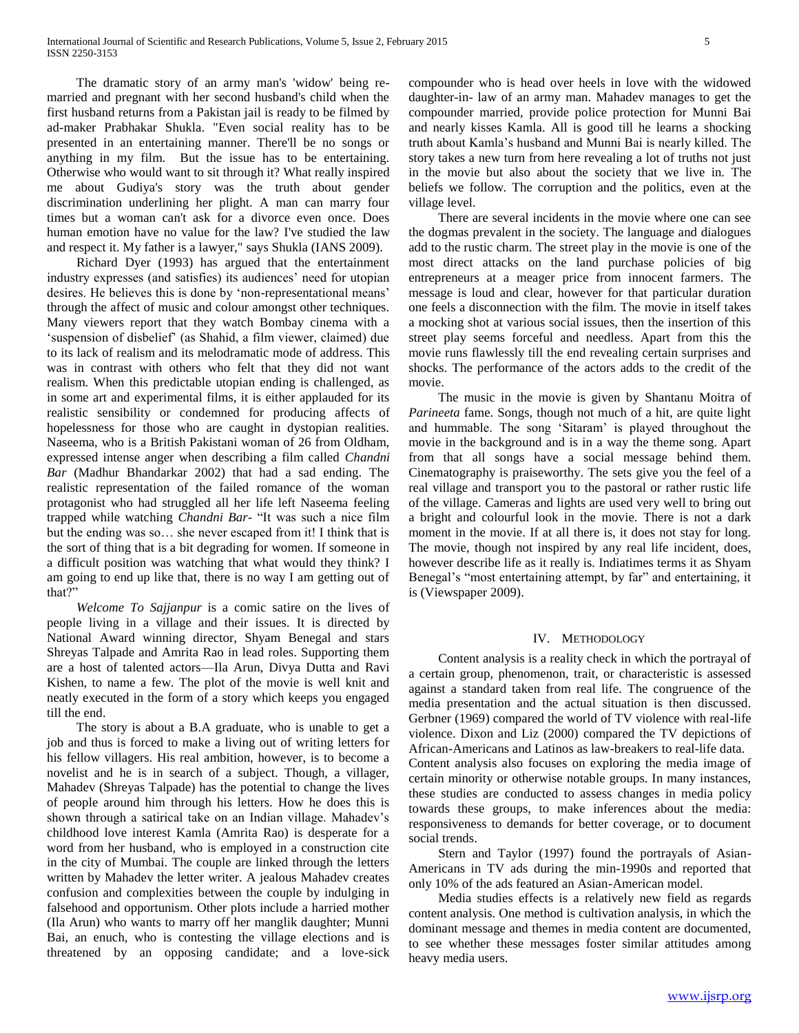The dramatic story of an army man's 'widow' being remarried and pregnant with her second husband's child when the first husband returns from a Pakistan jail is ready to be filmed by ad-maker Prabhakar Shukla. "Even social reality has to be presented in an entertaining manner. There'll be no songs or anything in my film. But the issue has to be entertaining. Otherwise who would want to sit through it? What really inspired me about Gudiya's story was the truth about gender discrimination underlining her plight. A man can marry four times but a woman can't ask for a divorce even once. Does human emotion have no value for the law? I've studied the law and respect it. My father is a lawyer," says Shukla (IANS 2009).

 Richard Dyer (1993) has argued that the entertainment industry expresses (and satisfies) its audiences' need for utopian desires. He believes this is done by 'non-representational means' through the affect of music and colour amongst other techniques. Many viewers report that they watch Bombay cinema with a 'suspension of disbelief' (as Shahid, a film viewer, claimed) due to its lack of realism and its melodramatic mode of address. This was in contrast with others who felt that they did not want realism. When this predictable utopian ending is challenged, as in some art and experimental films, it is either applauded for its realistic sensibility or condemned for producing affects of hopelessness for those who are caught in dystopian realities. Naseema, who is a British Pakistani woman of 26 from Oldham, expressed intense anger when describing a film called *Chandni Bar* (Madhur Bhandarkar 2002) that had a sad ending. The realistic representation of the failed romance of the woman protagonist who had struggled all her life left Naseema feeling trapped while watching *Chandni Bar*- "It was such a nice film but the ending was so… she never escaped from it! I think that is the sort of thing that is a bit degrading for women. If someone in a difficult position was watching that what would they think? I am going to end up like that, there is no way I am getting out of that?"

 *Welcome To Sajjanpur* is a comic satire on the lives of people living in a village and their issues. It is directed by National Award winning director, Shyam Benegal and stars Shreyas Talpade and Amrita Rao in lead roles. Supporting them are a host of talented actors—Ila Arun, Divya Dutta and Ravi Kishen, to name a few. The plot of the movie is well knit and neatly executed in the form of a story which keeps you engaged till the end.

 The story is about a B.A graduate, who is unable to get a job and thus is forced to make a living out of writing letters for his fellow villagers. His real ambition, however, is to become a novelist and he is in search of a subject. Though, a villager, Mahadev (Shreyas Talpade) has the potential to change the lives of people around him through his letters. How he does this is shown through a satirical take on an Indian village. Mahadev's childhood love interest Kamla (Amrita Rao) is desperate for a word from her husband, who is employed in a construction cite in the city of Mumbai. The couple are linked through the letters written by Mahadev the letter writer. A jealous Mahadev creates confusion and complexities between the couple by indulging in falsehood and opportunism. Other plots include a harried mother (Ila Arun) who wants to marry off her manglik daughter; Munni Bai, an enuch, who is contesting the village elections and is threatened by an opposing candidate; and a love-sick

compounder who is head over heels in love with the widowed daughter-in- law of an army man. Mahadev manages to get the compounder married, provide police protection for Munni Bai and nearly kisses Kamla. All is good till he learns a shocking truth about Kamla's husband and Munni Bai is nearly killed. The story takes a new turn from here revealing a lot of truths not just in the movie but also about the society that we live in. The beliefs we follow. The corruption and the politics, even at the village level.

 There are several incidents in the movie where one can see the dogmas prevalent in the society. The language and dialogues add to the rustic charm. The street play in the movie is one of the most direct attacks on the land purchase policies of big entrepreneurs at a meager price from innocent farmers. The message is loud and clear, however for that particular duration one feels a disconnection with the film. The movie in itself takes a mocking shot at various social issues, then the insertion of this street play seems forceful and needless. Apart from this the movie runs flawlessly till the end revealing certain surprises and shocks. The performance of the actors adds to the credit of the movie.

 The music in the movie is given by Shantanu Moitra of *Parineeta* fame. Songs, though not much of a hit, are quite light and hummable. The song 'Sitaram' is played throughout the movie in the background and is in a way the theme song. Apart from that all songs have a social message behind them. Cinematography is praiseworthy. The sets give you the feel of a real village and transport you to the pastoral or rather rustic life of the village. Cameras and lights are used very well to bring out a bright and colourful look in the movie. There is not a dark moment in the movie. If at all there is, it does not stay for long. The movie, though not inspired by any real life incident, does, however describe life as it really is. Indiatimes terms it as Shyam Benegal's "most entertaining attempt, by far" and entertaining, it is (Viewspaper 2009).

## IV. METHODOLOGY

 Content analysis is a reality check in which the portrayal of a certain group, phenomenon, trait, or characteristic is assessed against a standard taken from real life. The congruence of the media presentation and the actual situation is then discussed. Gerbner (1969) compared the world of TV violence with real-life violence. Dixon and Liz (2000) compared the TV depictions of African-Americans and Latinos as law-breakers to real-life data. Content analysis also focuses on exploring the media image of certain minority or otherwise notable groups. In many instances, these studies are conducted to assess changes in media policy towards these groups, to make inferences about the media: responsiveness to demands for better coverage, or to document social trends.

 Stern and Taylor (1997) found the portrayals of Asian-Americans in TV ads during the min-1990s and reported that only 10% of the ads featured an Asian-American model.

 Media studies effects is a relatively new field as regards content analysis. One method is cultivation analysis, in which the dominant message and themes in media content are documented, to see whether these messages foster similar attitudes among heavy media users.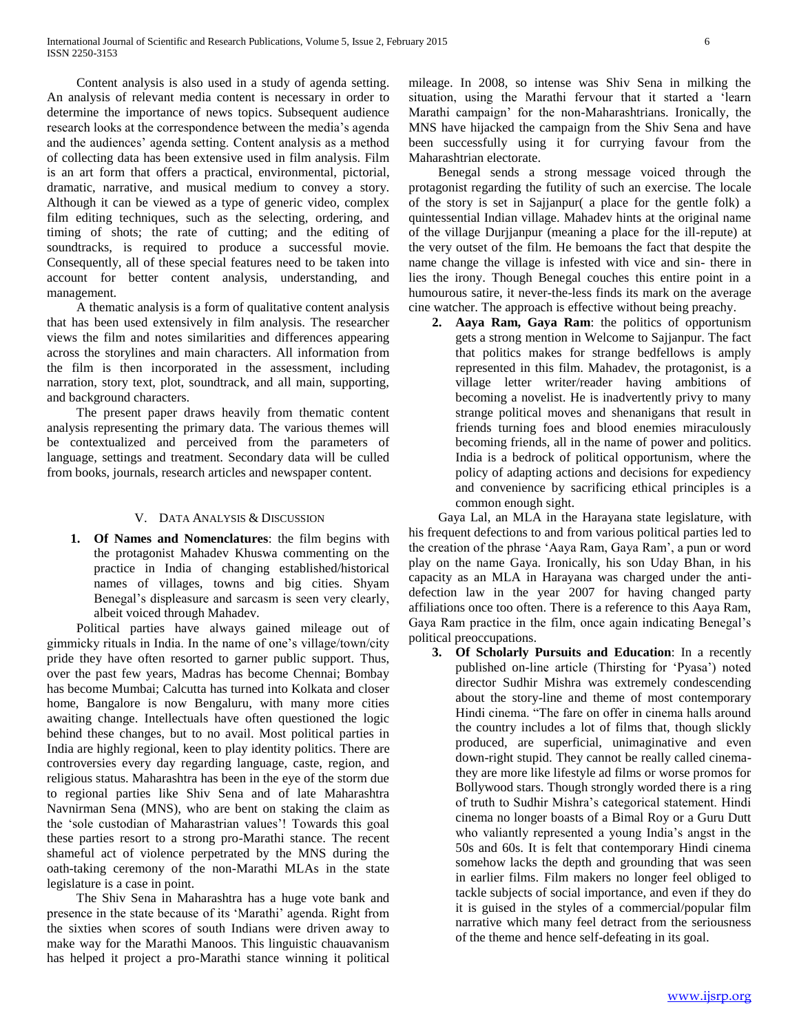Content analysis is also used in a study of agenda setting. An analysis of relevant media content is necessary in order to determine the importance of news topics. Subsequent audience research looks at the correspondence between the media's agenda and the audiences' agenda setting. Content analysis as a method of collecting data has been extensive used in film analysis. Film is an art form that offers a practical, environmental, pictorial, dramatic, narrative, and musical medium to convey a story. Although it can be viewed as a type of generic video, complex film editing techniques, such as the selecting, ordering, and timing of shots; the rate of cutting; and the editing of soundtracks, is required to produce a successful movie. Consequently, all of these special features need to be taken into account for better content analysis, understanding, and management.

 A thematic analysis is a form of qualitative content analysis that has been used extensively in film analysis. The researcher views the film and notes similarities and differences appearing across the storylines and main characters. All information from the film is then incorporated in the assessment, including narration, story text, plot, soundtrack, and all main, supporting, and background characters.

 The present paper draws heavily from thematic content analysis representing the primary data. The various themes will be contextualized and perceived from the parameters of language, settings and treatment. Secondary data will be culled from books, journals, research articles and newspaper content.

# V. DATA ANALYSIS & DISCUSSION

**1. Of Names and Nomenclatures**: the film begins with the protagonist Mahadev Khuswa commenting on the practice in India of changing established/historical names of villages, towns and big cities. Shyam Benegal's displeasure and sarcasm is seen very clearly, albeit voiced through Mahadev.

 Political parties have always gained mileage out of gimmicky rituals in India. In the name of one's village/town/city pride they have often resorted to garner public support. Thus, over the past few years, Madras has become Chennai; Bombay has become Mumbai; Calcutta has turned into Kolkata and closer home, Bangalore is now Bengaluru, with many more cities awaiting change. Intellectuals have often questioned the logic behind these changes, but to no avail. Most political parties in India are highly regional, keen to play identity politics. There are controversies every day regarding language, caste, region, and religious status. Maharashtra has been in the eye of the storm due to regional parties like Shiv Sena and of late Maharashtra Navnirman Sena (MNS), who are bent on staking the claim as the 'sole custodian of Maharastrian values'! Towards this goal these parties resort to a strong pro-Marathi stance. The recent shameful act of violence perpetrated by the MNS during the oath-taking ceremony of the non-Marathi MLAs in the state legislature is a case in point.

 The Shiv Sena in Maharashtra has a huge vote bank and presence in the state because of its 'Marathi' agenda. Right from the sixties when scores of south Indians were driven away to make way for the Marathi Manoos. This linguistic chauavanism has helped it project a pro-Marathi stance winning it political mileage. In 2008, so intense was Shiv Sena in milking the situation, using the Marathi fervour that it started a 'learn Marathi campaign' for the non-Maharashtrians. Ironically, the MNS have hijacked the campaign from the Shiv Sena and have been successfully using it for currying favour from the Maharashtrian electorate.

 Benegal sends a strong message voiced through the protagonist regarding the futility of such an exercise. The locale of the story is set in Sajjanpur( a place for the gentle folk) a quintessential Indian village. Mahadev hints at the original name of the village Durjjanpur (meaning a place for the ill-repute) at the very outset of the film. He bemoans the fact that despite the name change the village is infested with vice and sin- there in lies the irony. Though Benegal couches this entire point in a humourous satire, it never-the-less finds its mark on the average cine watcher. The approach is effective without being preachy.

**2. Aaya Ram, Gaya Ram**: the politics of opportunism gets a strong mention in Welcome to Sajjanpur. The fact that politics makes for strange bedfellows is amply represented in this film. Mahadev, the protagonist, is a village letter writer/reader having ambitions of becoming a novelist. He is inadvertently privy to many strange political moves and shenanigans that result in friends turning foes and blood enemies miraculously becoming friends, all in the name of power and politics. India is a bedrock of political opportunism, where the policy of adapting actions and decisions for expediency and convenience by sacrificing ethical principles is a common enough sight.

 Gaya Lal, an MLA in the Harayana state legislature, with his frequent defections to and from various political parties led to the creation of the phrase 'Aaya Ram, Gaya Ram', a pun or word play on the name Gaya. Ironically, his son Uday Bhan, in his capacity as an MLA in Harayana was charged under the antidefection law in the year 2007 for having changed party affiliations once too often. There is a reference to this Aaya Ram, Gaya Ram practice in the film, once again indicating Benegal's political preoccupations.

**3. Of Scholarly Pursuits and Education**: In a recently published on-line article (Thirsting for 'Pyasa') noted director Sudhir Mishra was extremely condescending about the story-line and theme of most contemporary Hindi cinema. "The fare on offer in cinema halls around the country includes a lot of films that, though slickly produced, are superficial, unimaginative and even down-right stupid. They cannot be really called cinemathey are more like lifestyle ad films or worse promos for Bollywood stars. Though strongly worded there is a ring of truth to Sudhir Mishra's categorical statement. Hindi cinema no longer boasts of a Bimal Roy or a Guru Dutt who valiantly represented a young India's angst in the 50s and 60s. It is felt that contemporary Hindi cinema somehow lacks the depth and grounding that was seen in earlier films. Film makers no longer feel obliged to tackle subjects of social importance, and even if they do it is guised in the styles of a commercial/popular film narrative which many feel detract from the seriousness of the theme and hence self-defeating in its goal.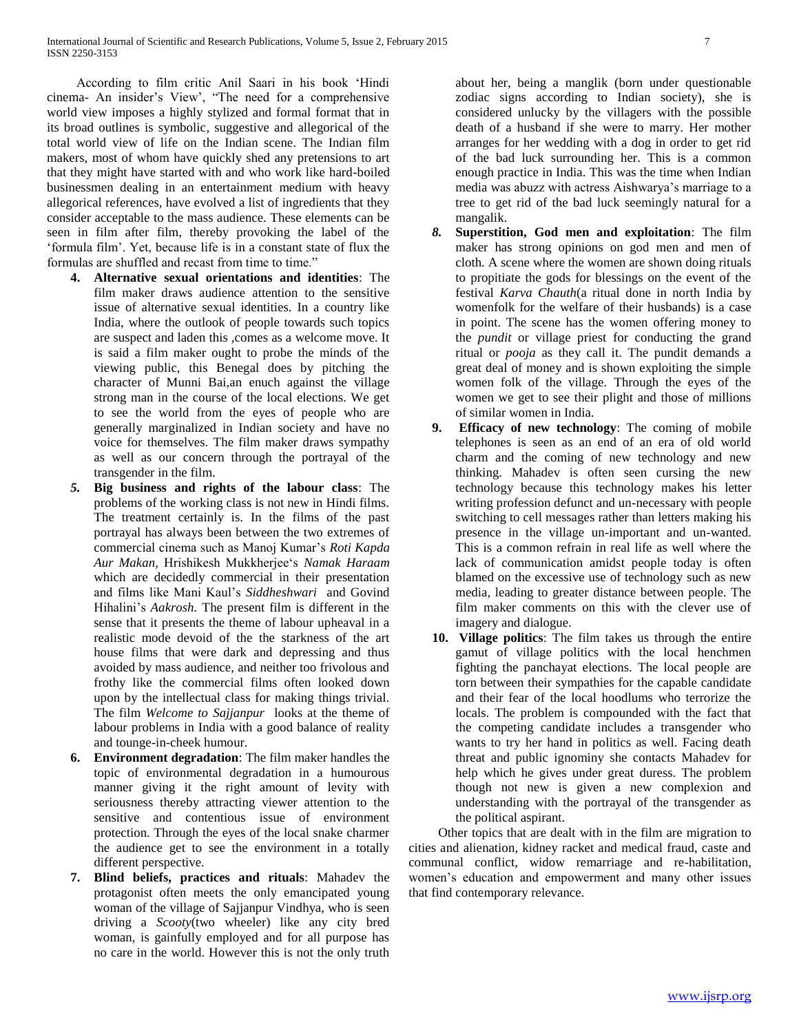According to film critic Anil Saari in his book 'Hindi cinema- An insider's View', "The need for a comprehensive world view imposes a highly stylized and formal format that in its broad outlines is symbolic, suggestive and allegorical of the total world view of life on the Indian scene. The Indian film makers, most of whom have quickly shed any pretensions to art that they might have started with and who work like hard-boiled businessmen dealing in an entertainment medium with heavy allegorical references, have evolved a list of ingredients that they consider acceptable to the mass audience. These elements can be seen in film after film, thereby provoking the label of the 'formula film'. Yet, because life is in a constant state of flux the formulas are shuffled and recast from time to time."

- **4. Alternative sexual orientations and identities**: The film maker draws audience attention to the sensitive issue of alternative sexual identities. In a country like India, where the outlook of people towards such topics are suspect and laden this ,comes as a welcome move. It is said a film maker ought to probe the minds of the viewing public, this Benegal does by pitching the character of Munni Bai,an enuch against the village strong man in the course of the local elections. We get to see the world from the eyes of people who are generally marginalized in Indian society and have no voice for themselves. The film maker draws sympathy as well as our concern through the portrayal of the transgender in the film.
- *5.* **Big business and rights of the labour class**: The problems of the working class is not new in Hindi films. The treatment certainly is. In the films of the past portrayal has always been between the two extremes of commercial cinema such as Manoj Kumar's *Roti Kapda Aur Makan,* Hrishikesh Mukkherjee's *Namak Haraam* which are decidedly commercial in their presentation and films like Mani Kaul's *Siddheshwari* and Govind Hihalini's *Aakrosh.* The present film is different in the sense that it presents the theme of labour upheaval in a realistic mode devoid of the the starkness of the art house films that were dark and depressing and thus avoided by mass audience, and neither too frivolous and frothy like the commercial films often looked down upon by the intellectual class for making things trivial. The film *Welcome to Sajjanpur* looks at the theme of labour problems in India with a good balance of reality and tounge-in-cheek humour.
- **6. Environment degradation**: The film maker handles the topic of environmental degradation in a humourous manner giving it the right amount of levity with seriousness thereby attracting viewer attention to the sensitive and contentious issue of environment protection. Through the eyes of the local snake charmer the audience get to see the environment in a totally different perspective.
- **7. Blind beliefs, practices and rituals**: Mahadev the protagonist often meets the only emancipated young woman of the village of Sajjanpur Vindhya, who is seen driving a *Scooty*(two wheeler) like any city bred woman, is gainfully employed and for all purpose has no care in the world. However this is not the only truth

about her, being a manglik (born under questionable zodiac signs according to Indian society), she is considered unlucky by the villagers with the possible death of a husband if she were to marry. Her mother arranges for her wedding with a dog in order to get rid of the bad luck surrounding her. This is a common enough practice in India. This was the time when Indian media was abuzz with actress Aishwarya's marriage to a tree to get rid of the bad luck seemingly natural for a mangalik.

- *8.* **Superstition, God men and exploitation**: The film maker has strong opinions on god men and men of cloth. A scene where the women are shown doing rituals to propitiate the gods for blessings on the event of the festival *Karva Chauth*(a ritual done in north India by womenfolk for the welfare of their husbands) is a case in point. The scene has the women offering money to the *pundit* or village priest for conducting the grand ritual or *pooja* as they call it. The pundit demands a great deal of money and is shown exploiting the simple women folk of the village. Through the eyes of the women we get to see their plight and those of millions of similar women in India.
- **9. Efficacy of new technology**: The coming of mobile telephones is seen as an end of an era of old world charm and the coming of new technology and new thinking. Mahadev is often seen cursing the new technology because this technology makes his letter writing profession defunct and un-necessary with people switching to cell messages rather than letters making his presence in the village un-important and un-wanted. This is a common refrain in real life as well where the lack of communication amidst people today is often blamed on the excessive use of technology such as new media, leading to greater distance between people. The film maker comments on this with the clever use of imagery and dialogue.
- **10. Village politics**: The film takes us through the entire gamut of village politics with the local henchmen fighting the panchayat elections. The local people are torn between their sympathies for the capable candidate and their fear of the local hoodlums who terrorize the locals. The problem is compounded with the fact that the competing candidate includes a transgender who wants to try her hand in politics as well. Facing death threat and public ignominy she contacts Mahadev for help which he gives under great duress. The problem though not new is given a new complexion and understanding with the portrayal of the transgender as the political aspirant.

 Other topics that are dealt with in the film are migration to cities and alienation, kidney racket and medical fraud, caste and communal conflict, widow remarriage and re-habilitation, women's education and empowerment and many other issues that find contemporary relevance.